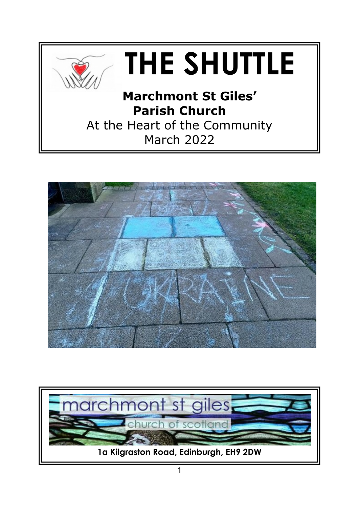



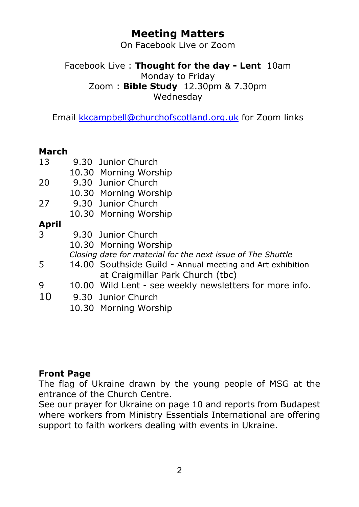## **Meeting Matters**

On Facebook Live or Zoom

#### Facebook Live : **Thought for the day - Lent** 10am Monday to Friday Zoom : **Bible Study** 12.30pm & 7.30pm Wednesday

Email [kkcampbell@churchofscotland.org.uk](mailto:kkcampbell@churchofscotland.org.uk) for Zoom links

#### **March**

| 13    | 9.30 Junior Church                                          |
|-------|-------------------------------------------------------------|
|       | 10.30 Morning Worship                                       |
| 20    | 9.30 Junior Church                                          |
|       | 10.30 Morning Worship                                       |
| 27    | 9.30 Junior Church                                          |
|       | 10.30 Morning Worship                                       |
| April |                                                             |
| 3     | 9.30 Junior Church                                          |
|       | 10.30 Morning Worship                                       |
|       | Closing date for material for the next issue of The Shuttle |
| 5     | 14.00 Southside Guild - Annual meeting and Art exhibition   |
|       | at Craigmillar Park Church (tbc)                            |
| 9     | 10.00 Wild Lent - see weekly newsletters for more info.     |
| 10    | 9.30 Junior Church                                          |
|       | 10.30 Morning Worship                                       |

#### **Front Page**

The flag of Ukraine drawn by the young people of MSG at the entrance of the Church Centre.

See our prayer for Ukraine on page 10 and reports from Budapest where workers from Ministry Essentials International are offering support to faith workers dealing with events in Ukraine.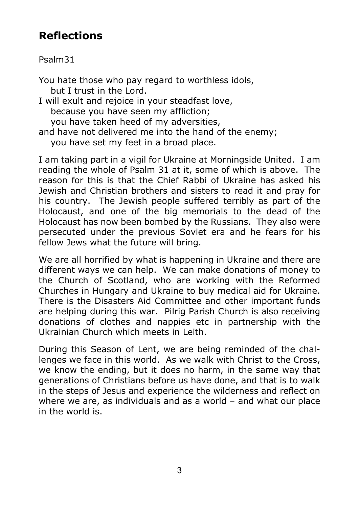## **Reflections**

#### Psalm31

You hate those who pay regard to worthless idols, but I trust in the Lord. I will exult and rejoice in your steadfast love, because you have seen my affliction; you have taken heed of my adversities, and have not delivered me into the hand of the enemy; you have set my feet in a broad place.

I am taking part in a vigil for Ukraine at Morningside United. I am reading the whole of Psalm 31 at it, some of which is above. The reason for this is that the Chief Rabbi of Ukraine has asked his Jewish and Christian brothers and sisters to read it and pray for his country. The Jewish people suffered terribly as part of the Holocaust, and one of the big memorials to the dead of the Holocaust has now been bombed by the Russians. They also were persecuted under the previous Soviet era and he fears for his fellow Jews what the future will bring.

We are all horrified by what is happening in Ukraine and there are different ways we can help. We can make donations of money to the Church of Scotland, who are working with the Reformed Churches in Hungary and Ukraine to buy medical aid for Ukraine. There is the Disasters Aid Committee and other important funds are helping during this war. Pilrig Parish Church is also receiving donations of clothes and nappies etc in partnership with the Ukrainian Church which meets in Leith.

During this Season of Lent, we are being reminded of the challenges we face in this world. As we walk with Christ to the Cross, we know the ending, but it does no harm, in the same way that generations of Christians before us have done, and that is to walk in the steps of Jesus and experience the wilderness and reflect on where we are, as individuals and as a world – and what our place in the world is.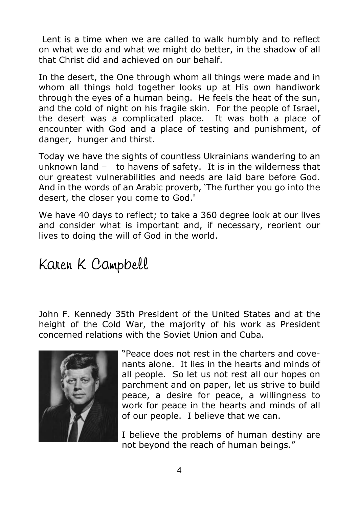Lent is a time when we are called to walk humbly and to reflect on what we do and what we might do better, in the shadow of all that Christ did and achieved on our behalf.

In the desert, the One through whom all things were made and in whom all things hold together looks up at His own handiwork through the eyes of a human being. He feels the heat of the sun, and the cold of night on his fragile skin. For the people of Israel, the desert was a complicated place. It was both a place of encounter with God and a place of testing and punishment, of danger, hunger and thirst.

Today we have the sights of countless Ukrainians wandering to an unknown land – to havens of safety. It is in the wilderness that our greatest vulnerabilities and needs are laid bare before God. And in the words of an Arabic proverb, 'The further you go into the desert, the closer you come to God.'

We have 40 days to reflect; to take a 360 degree look at our lives and consider what is important and, if necessary, reorient our lives to doing the will of God in the world.

# Karen K Campbell

John F. Kennedy 35th President of the United States and at the height of the Cold War, the majority of his work as President concerned relations with the Soviet Union and Cuba.



"Peace does not rest in the charters and covenants alone. It lies in the hearts and minds of all people. So let us not rest all our hopes on parchment and on paper, let us strive to build peace, a desire for peace, a willingness to work for peace in the hearts and minds of all of our people. I believe that we can.

I believe the problems of human destiny are not beyond the reach of human beings."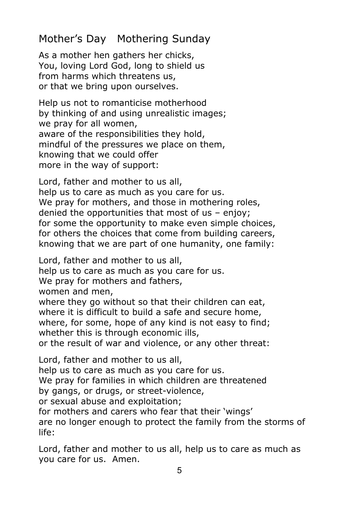# Mother's Day Mothering Sunday

As a mother hen gathers her chicks, You, loving Lord God, long to shield us from harms which threatens us, or that we bring upon ourselves.

Help us not to romanticise motherhood by thinking of and using unrealistic images; we pray for all women, aware of the responsibilities they hold, mindful of the pressures we place on them, knowing that we could offer more in the way of support:

Lord, father and mother to us all,

help us to care as much as you care for us. We pray for mothers, and those in mothering roles, denied the opportunities that most of us – enjoy; for some the opportunity to make even simple choices, for others the choices that come from building careers, knowing that we are part of one humanity, one family:

Lord, father and mother to us all, help us to care as much as you care for us. We pray for mothers and fathers, women and men, where they go without so that their children can eat, where it is difficult to build a safe and secure home, where, for some, hope of any kind is not easy to find; whether this is through economic ills,

or the result of war and violence, or any other threat:

Lord, father and mother to us all,

help us to care as much as you care for us.

We pray for families in which children are threatened

by gangs, or drugs, or street-violence,

or sexual abuse and exploitation;

for mothers and carers who fear that their 'wings'

are no longer enough to protect the family from the storms of life:

Lord, father and mother to us all, help us to care as much as you care for us. Amen.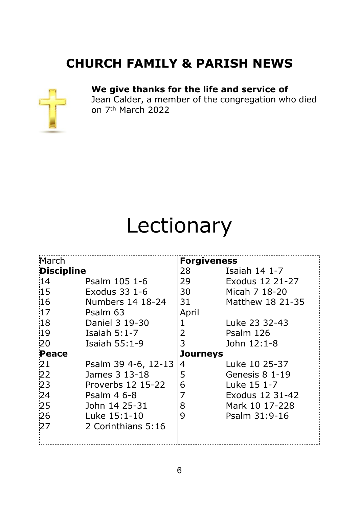# **CHURCH FAMILY & PARISH NEWS**



**We give thanks for the life and service of**

Jean Calder, a member of the congregation who died on 7th March 2022

# Lectionary

| March             |                     | <b>Forgiveness</b> |                   |  |
|-------------------|---------------------|--------------------|-------------------|--|
| <b>Discipline</b> |                     | 28                 | Isaiah $14$ $1-7$ |  |
| 14                | Psalm 105 1-6       | 29                 | Exodus 12 21-27   |  |
| 15 <sub>1</sub>   | Exodus 33 1-6       | 30                 | Micah 7 18-20     |  |
| 16                | Numbers 14 18-24    | 31                 | Matthew 18 21-35  |  |
| 17                | Psalm 63            | April              |                   |  |
| 18                | Daniel 3 19-30      | 1                  | Luke 23 32-43     |  |
| 19                | Isaiah $5:1-7$      | $\overline{2}$     | Psalm 126         |  |
| 20                | Isaiah 55:1-9       | 3                  | John 12:1-8       |  |
| Peace             |                     | Journeys           |                   |  |
| 21                | Psalm 39 4-6, 12-13 | 4                  | Luke 10 25-37     |  |
| 22                | James 3 13-18       | 5                  | Genesis 8 1-19    |  |
| :23               | Proverbs 12 15-22   | 6                  | Luke 15 1-7       |  |
| 24                | Psalm 4 6-8         | 7                  | Exodus 12 31-42   |  |
| 25                | John 14 25-31       | 8                  | Mark 10 17-228    |  |
| 26                | Luke 15:1-10        | 9                  | Psalm 31:9-16     |  |
| :27               | 2 Corinthians 5:16  |                    |                   |  |
|                   |                     |                    |                   |  |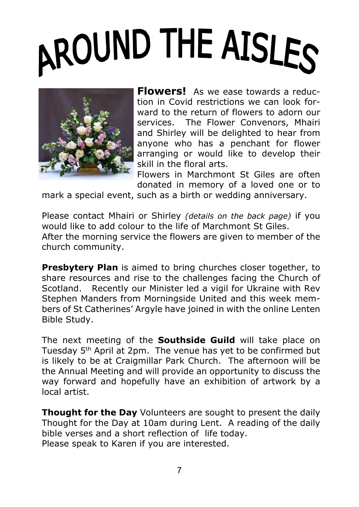# AROUND THE AISLES



**Flowers!** As we ease towards a reduction in Covid restrictions we can look forward to the return of flowers to adorn our services. The Flower Convenors, Mhairi and Shirley will be delighted to hear from anyone who has a penchant for flower arranging or would like to develop their skill in the floral arts.

Flowers in Marchmont St Giles are often donated in memory of a loved one or to

mark a special event, such as a birth or wedding anniversary.

Please contact Mhairi or Shirley *(details on the back page)* if you would like to add colour to the life of Marchmont St Giles. After the morning service the flowers are given to member of the church community.

**Presbytery Plan** is aimed to bring churches closer together, to share resources and rise to the challenges facing the Church of Scotland. Recently our Minister led a vigil for Ukraine with Rev Stephen Manders from Morningside United and this week members of St Catherines' Argyle have joined in with the online Lenten Bible Study.

The next meeting of the **Southside Guild** will take place on Tuesday 5<sup>th</sup> April at 2pm. The venue has yet to be confirmed but is likely to be at Craigmillar Park Church. The afternoon will be the Annual Meeting and will provide an opportunity to discuss the way forward and hopefully have an exhibition of artwork by a local artist.

**Thought for the Day** Volunteers are sought to present the daily Thought for the Day at 10am during Lent. A reading of the daily bible verses and a short reflection of life today. Please speak to Karen if you are interested.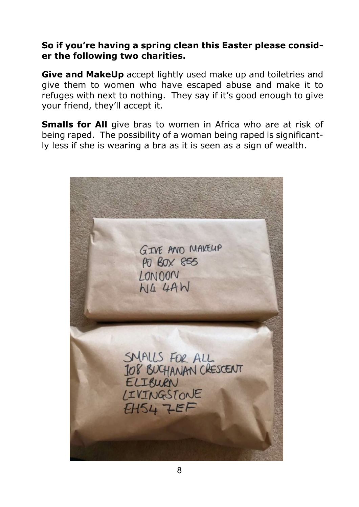#### **So if you're having a spring clean this Easter please consider the following two charities.**

**Give and MakeUp** accept lightly used make up and toiletries and give them to women who have escaped abuse and make it to refuges with next to nothing. They say if it's good enough to give your friend, they'll accept it.

**Smalls for All** give bras to women in Africa who are at risk of being raped. The possibility of a woman being raped is significantly less if she is wearing a bra as it is seen as a sign of wealth.

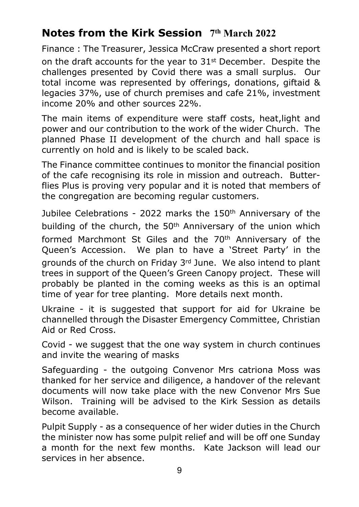### **Notes from the Kirk Session 7th March 2022**

Finance : The Treasurer, Jessica McCraw presented a short report

on the draft accounts for the year to 31st December. Despite the challenges presented by Covid there was a small surplus. Our total income was represented by offerings, donations, giftaid & legacies 37%, use of church premises and cafe 21%, investment income 20% and other sources 22%.

The main items of expenditure were staff costs, heat,light and power and our contribution to the work of the wider Church. The planned Phase II development of the church and hall space is currently on hold and is likely to be scaled back.

The Finance committee continues to monitor the financial position of the cafe recognising its role in mission and outreach. Butterflies Plus is proving very popular and it is noted that members of the congregation are becoming regular customers.

Jubilee Celebrations - 2022 marks the 150<sup>th</sup> Anniversary of the building of the church, the 50<sup>th</sup> Anniversary of the union which formed Marchmont St Giles and the 70<sup>th</sup> Anniversary of the Queen's Accession. We plan to have a 'Street Party' in the grounds of the church on Friday 3rd June. We also intend to plant trees in support of the Queen's Green Canopy project. These will probably be planted in the coming weeks as this is an optimal time of year for tree planting. More details next month.

Ukraine - it is suggested that support for aid for Ukraine be channelled through the Disaster Emergency Committee, Christian Aid or Red Cross.

Covid - we suggest that the one way system in church continues and invite the wearing of masks

Safeguarding - the outgoing Convenor Mrs catriona Moss was thanked for her service and diligence, a handover of the relevant documents will now take place with the new Convenor Mrs Sue Wilson. Training will be advised to the Kirk Session as details become available.

Pulpit Supply - as a consequence of her wider duties in the Church the minister now has some pulpit relief and will be off one Sunday a month for the next few months. Kate Jackson will lead our services in her absence.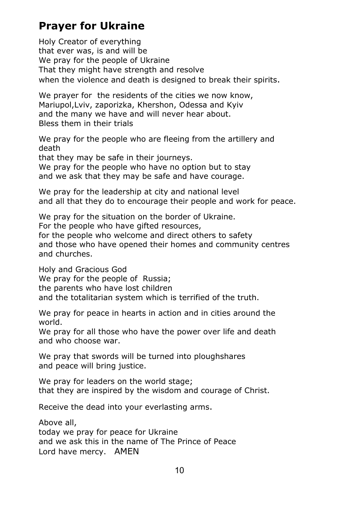## **Prayer for Ukraine**

Holy Creator of everything that ever was, is and will be We pray for the people of Ukraine That they might have strength and resolve when the violence and death is designed to break their spirits.

We prayer for the residents of the cities we now know. Mariupol,Lviv, zaporizka, Khershon, Odessa and Kyiv and the many we have and will never hear about. Bless them in their trials

We pray for the people who are fleeing from the artillery and death that they may be safe in their journeys. We pray for the people who have no option but to stay and we ask that they may be safe and have courage.

We pray for the leadership at city and national level and all that they do to encourage their people and work for peace.

We pray for the situation on the border of Ukraine. For the people who have gifted resources, for the people who welcome and direct others to safety and those who have opened their homes and community centres and churches.

Holy and Gracious God We pray for the people of Russia; the parents who have lost children and the totalitarian system which is terrified of the truth.

We pray for peace in hearts in action and in cities around the world.

We pray for all those who have the power over life and death and who choose war.

We pray that swords will be turned into ploughshares and peace will bring justice.

We pray for leaders on the world stage; that they are inspired by the wisdom and courage of Christ.

Receive the dead into your everlasting arms.

Above all, today we pray for peace for Ukraine and we ask this in the name of The Prince of Peace Lord have mercy. AMEN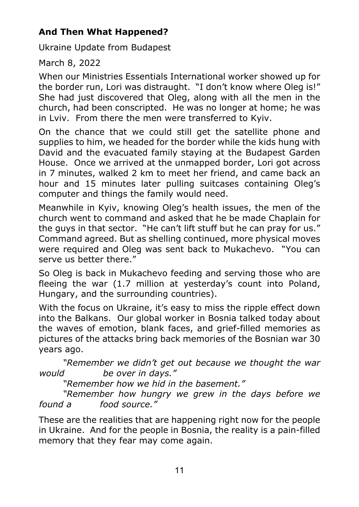#### **And Then What Happened?**

Ukraine Update from Budapest

March 8, 2022

When our Ministries Essentials International worker showed up for the border run, Lori was distraught. "I don't know where Oleg is!" She had just discovered that Oleg, along with all the men in the church, had been conscripted. He was no longer at home; he was in Lviv. From there the men were transferred to Kyiv.

On the chance that we could still get the satellite phone and supplies to him, we headed for the border while the kids hung with David and the evacuated family staying at the Budapest Garden House. Once we arrived at the unmapped border, Lori got across in 7 minutes, walked 2 km to meet her friend, and came back an hour and 15 minutes later pulling suitcases containing Oleg's computer and things the family would need.

Meanwhile in Kyiv, knowing Oleg's health issues, the men of the church went to command and asked that he be made Chaplain for the guys in that sector. "He can't lift stuff but he can pray for us." Command agreed. But as shelling continued, more physical moves were required and Oleg was sent back to Mukachevo. "You can serve us better there."

So Oleg is back in Mukachevo feeding and serving those who are fleeing the war (1.7 million at yesterday's count into Poland, Hungary, and the surrounding countries).

With the focus on Ukraine, it's easy to miss the ripple effect down into the Balkans. Our global worker in Bosnia talked today about the waves of emotion, blank faces, and grief-filled memories as pictures of the attacks bring back memories of the Bosnian war 30 years ago.

 *"Remember we didn't get out because we thought the war would be over in days."*

 *"Remember how we hid in the basement."*

 *"Remember how hungry we grew in the days before we found a food source."*

These are the realities that are happening right now for the people in Ukraine. And for the people in Bosnia, the reality is a pain-filled memory that they fear may come again.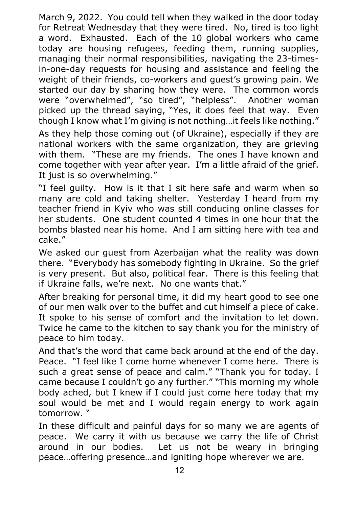March 9, 2022. You could tell when they walked in the door today for Retreat Wednesday that they were tired. No, tired is too light a word. Exhausted. Each of the 10 global workers who came today are housing refugees, feeding them, running supplies, managing their normal responsibilities, navigating the 23-timesin-one-day requests for housing and assistance and feeling the weight of their friends, co-workers and guest's growing pain. We started our day by sharing how they were. The common words were "overwhelmed", "so tired", "helpless". Another woman picked up the thread saying, "Yes, it does feel that way. Even though I know what I'm giving is not nothing…it feels like nothing."

As they help those coming out (of Ukraine), especially if they are national workers with the same organization, they are grieving with them. "These are my friends. The ones I have known and come together with year after year. I'm a little afraid of the grief. It just is so overwhelming."

"I feel guilty. How is it that I sit here safe and warm when so many are cold and taking shelter. Yesterday I heard from my teacher friend in Kyiv who was still conducing online classes for her students. One student counted 4 times in one hour that the bombs blasted near his home. And I am sitting here with tea and cake."

We asked our guest from Azerbaijan what the reality was down there. "Everybody has somebody fighting in Ukraine. So the grief is very present. But also, political fear. There is this feeling that if Ukraine falls, we're next. No one wants that."

After breaking for personal time, it did my heart good to see one of our men walk over to the buffet and cut himself a piece of cake. It spoke to his sense of comfort and the invitation to let down. Twice he came to the kitchen to say thank you for the ministry of peace to him today.

And that's the word that came back around at the end of the day. Peace. "I feel like I come home whenever I come here. There is such a great sense of peace and calm." "Thank you for today. I came because I couldn't go any further." "This morning my whole body ached, but I knew if I could just come here today that my soul would be met and I would regain energy to work again tomorrow. "

In these difficult and painful days for so many we are agents of peace. We carry it with us because we carry the life of Christ around in our bodies. Let us not be weary in bringing peace…offering presence…and igniting hope wherever we are.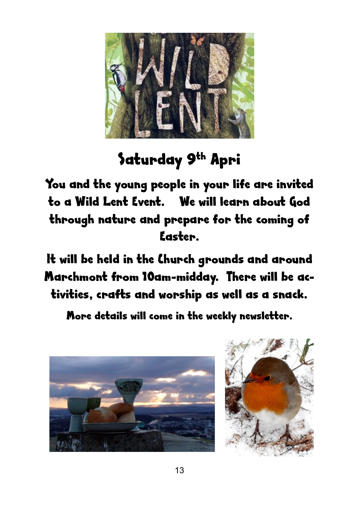

# Saturday 9th Apri

You and the young people in your life are invited to a Wild Lent Event. We will learn about God through nature and prepare for the coming of Easter.

It will be held in the Church grounds and around Marchmont from 10am-midday. There will be activities, crafts and worship as well as a snack.

More details will come in the weekly newsletter.



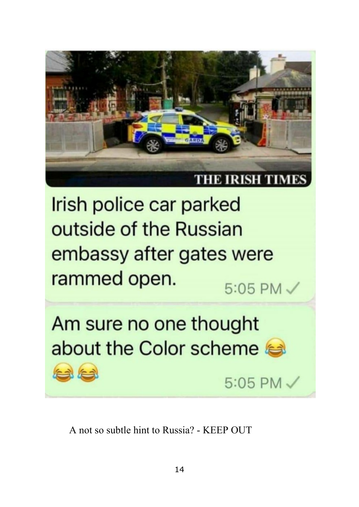

Irish police car parked outside of the Russian embassy after gates were rammed open.  $5:05$  PM  $\sim$ 

Am sure no one thought about the Color scheme

**Ad for** 

A not so subtle hint to Russia? - KEEP OUT

5:05 PM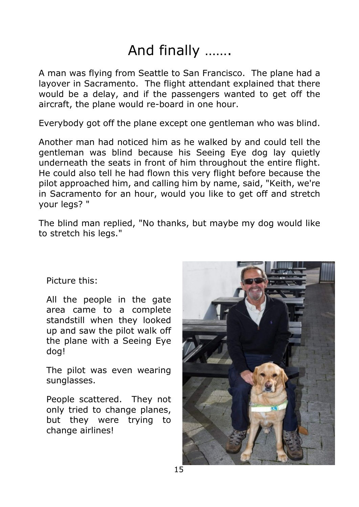# And finally …….

A man was flying from Seattle to San Francisco. The plane had a layover in Sacramento. The flight attendant explained that there would be a delay, and if the passengers wanted to get off the aircraft, the plane would re-board in one hour.

Everybody got off the plane except one gentleman who was blind.

Another man had noticed him as he walked by and could tell the gentleman was blind because his Seeing Eye dog lay quietly underneath the seats in front of him throughout the entire flight. He could also tell he had flown this very flight before because the pilot approached him, and calling him by name, said, "Keith, we're in Sacramento for an hour, would you like to get off and stretch your legs? "

The blind man replied, "No thanks, but maybe my dog would like to stretch his legs."

Picture this:

All the people in the gate area came to a complete standstill when they looked up and saw the pilot walk off the plane with a Seeing Eye dog!

The pilot was even wearing sunglasses.

People scattered. They not only tried to change planes, but they were trying to change airlines!